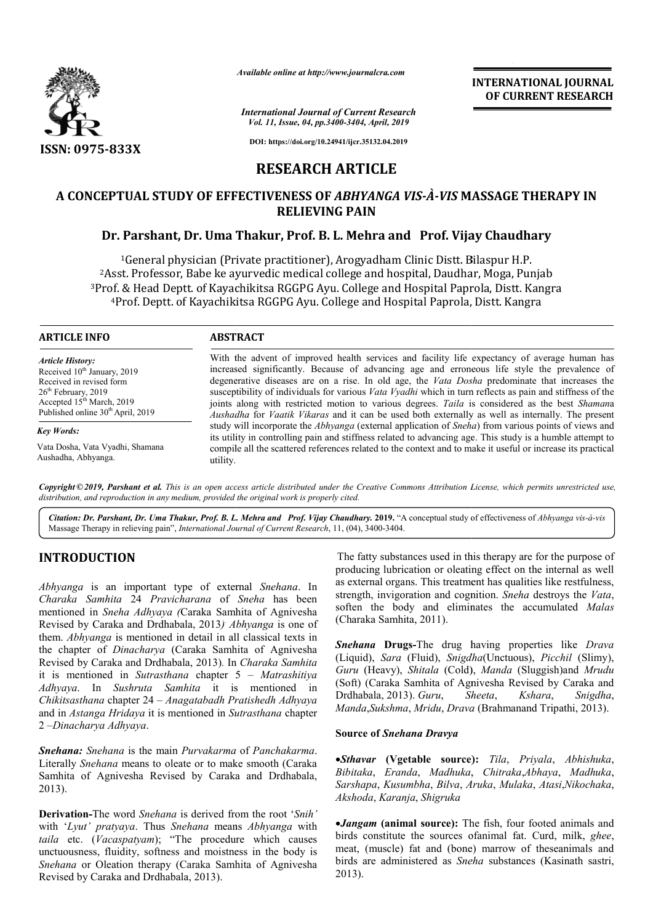

*Available online at http://www.journalcra.com*

*International Journal of Current Research Vol. 11, Issue, 04, pp.3400-3404, April, 2019*

**INTERNATIONAL JOURNAL OF CURRENT RESEARCH**

**DOI: https://doi.org/10.24941/ijcr.35132.04.2019**

# **RESEARCH ARTICLE**

# **A CONCEPTUAL STUDY OF EFFECTIVENESS OF**  *ABHYANGA VIS-À-VIS* **MASSAGE THERAPY IN MASSAGE THERAPY RELIEVING PAIN**

# **Dr. Parshant, Dr. Uma Thakur, Prof. B. L. Mehra and Prof. Vijay Chaudhary**

1General physician (Private practitioner), Arogyadham Clinic Distt. Bilaspur H.P. <sup>1</sup>General physician (Private practitioner), Arogyadham Clinic Distt. Bilaspur H.P.<br>Asst. Professor, Babe ke ayurvedic medical college and hospital, Daudhar, Moga, Punjab<sup>2</sup> <sup>1</sup>General physician (Private practitioner), Arogyadham Clinic Distt. Bilaspur H.P.<br><sup>2</sup>Asst. Professor, Babe ke ayurvedic medical college and hospital, Daudhar, Moga, Punjab<sup>3</sup>Prof. & Head Deptt. of Kayachikitsa RGGPG Ayu. ›f. & Head Deptt. of Kayachikitsa RGGPG Ayu. College and Hospital Paprola, Distt. Kan<br>4Prof. Deptt. of Kayachikitsa RGGPG Ayu. College and Hospital Paprola, Distt. Kangra

## **ARTICLE INFO ABSTRACT**

*Article History:* Received 10<sup>th</sup> January, 2019 Received in revised form 26<sup>th</sup> February, 2019 Accepted  $15^{th}$  March, 2019 Published online 30<sup>th</sup> April, 2019

*Key Words:*

Vata Dosha, Vata Vyadhi, Shamana Aushadha, Abhyanga.

With the advent of improved health services and facility life expectancy of average human has With the advent of improved health services and facility life expectancy of average human has increased significantly. Because of advancing age and erroneous life style the prevalence of degenerative diseases are on a rise. In old age, the *Vata Dosha Dosha* predominate that increases the susceptibility of individuals for various *Vata Vyadhi* which in turn reflects as pain and stiffness of the joints along with restricted motion to various degrees. *Taila* is considered as the best *Shaman*a *Aushadha*  for *Vaatik Vikaras* and it can be used both externally as well as internally. The present Aushadha for *Vaatik Vikaras* and it can be used both externally as well as internally. The present study will incorporate the *Abhyanga* (external application of *Sneha*) from various points of views and its utility in controlling pain and stiffness related to advancing age. This study is a humble attempt to compile all the scattered references related to the context and to make it useful or increase its practical utility.

Copyright © 2019, Parshant et al. This is an open access article distributed under the Creative Commons Attribution License, which permits unrestricted use, *distribution, and reproduction in any medium, provided the original work is properly cited.*

Citation: Dr. Parshant, Dr. Uma Thakur, Prof. B. L. Mehra and Prof. Vijay Chaudhary. 2019. "A conceptual study of effectiveness of Abhyanga vis-à-vis Massage Therapy in relieving pain", *International Journal of Current Research* , 11, (04), 3400-3404.

# **INTRODUCTION**

*Abhyanga* is an important type of external *Snehana*. In *Charaka Samhita* 24 *Pravicharana* of *Sneha* has been mentioned in *Sneha Adhyaya (*Caraka Samhita of Agnivesha Revised by Caraka and Drdhabala, 2013*) . Abhyanga* is one of them. *Abhyanga* is mentioned in detail in all classical texts in the chapter of *Dinacharya* (Caraka Samhita of Agnivesha Revised by Caraka and Drdhabala, 2013)*.* In *Charaka Samhita* it is mentioned in *Sutrasthana* chapter 5 – *Matrashitiya Adhyaya*. In *Sushruta Samhita* it is m mentioned in *Chikitsasthana* chapter 24 – *Anagatabadh Pratishedh Adhyaya*  and in *Astanga Hridaya* it is mentioned in *Sutrasthana* chapter 2 –*Dinacharya Adhyaya*. **RODUCTION**<br>
The fatty substances used in this therapy are for the purpose of<br> *assemblina* 24 Pravicharana of Sueha has seen conduction or oleating effect on the internal as swell<br> *assemblina* CA Sueha has been conducted

*Snehana: Snehana* is the main *Purvakarma* of *Panchakarma*. Literally *Snehana* means to oleate or to make smooth (Caraka Samhita of Agnivesha Revised by Caraka and Drdhabala Drdhabala, 2013).

**Derivation-**The word *Snehana* is derived from the root ' *Snih'* with '*Lyut' pratyaya*. Thus *Snehana* means *Abhyanga* with *taila* etc. (*Vacaspatyam*); "The procedure which causes unctuousness, fluidity, softness and moistness in the body is *Snehana* or Oleation therapy (Caraka Samhita of Agnivesha Revised by Caraka and Drdhabala, 2013).

producing lubrication or oleating effect on the internal as well as external organs. This treatment has qualities like restfulness, strength, invigoration and cognition. *Sneha* destroys the *Vata*, soften the body and eliminates the accumulated Malas (Charaka Samhita, 2011). in this therapy are for the purpose of<br>leating effect on the internal as well<br>eatment has qualities like restfulness,

Snehana Drugs-The drug having properties like Drava (Liquid), *Sara* (Fluid), *Snigdha* (Unctuous), *Picchil* (Slimy), *Guru* (Heavy), *Shitala* (Cold), *Manda* (Sluggish)and *Mrudu* (Soft) (Caraka Samhita of Agnivesha Revised by Caraka and Drdhabala, 2013). *Guru, Sheeta, Kshara, Snigdha*, Drdhabala, 2013). *Guru*, *Sheeta Manda*,*Sukshma*, *Mridu*, *Drava* (Brahmanand Tripathi, 2013).

## **Source of** *Snehana Dravya*

*Sthavar* **(Vgetable source) source):** *Tila*, *Priyala*, *Abhishuka*, *Bibitaka*, *Eranda*, *Madhuka*, *Chitraka*,*Abhaya*, *Madhuka*, *Sarshapa*, *Kusumbha*, *Bilva*, *Aruka Aruka*, *Mulaka*, *Atasi*,*Nikochaka*, *Akshoda*, *Karanja*, *Shigruka*

*Jangam* **(animal source):** The fish, four footed animals and birds constitute the sources ofanimal fat. Curd, milk, ghee, meat, (muscle) fat and (bone) marrow of theseanimals and birds are administered as *Sneha Sneha* substances (Kasinath sastri, 2013).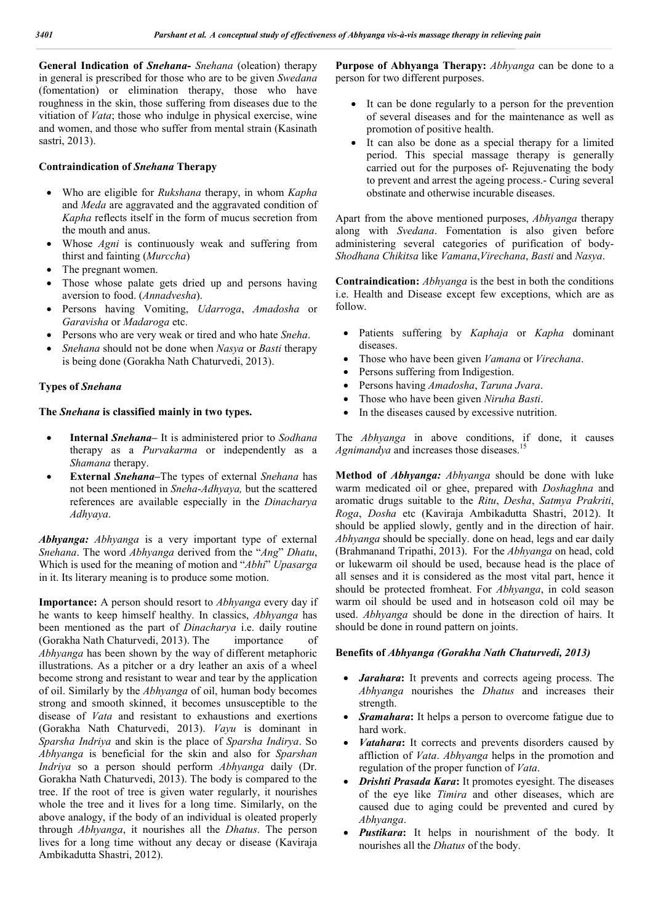**General Indication of** *Snehana***-** *Snehana* (oleation) therapy in general is prescribed for those who are to be given *Swedana* (fomentation) or elimination therapy, those who have roughness in the skin, those suffering from diseases due to the vitiation of *Vata*; those who indulge in physical exercise, wine and women, and those who suffer from mental strain (Kasinath sastri, 2013).

## **Contraindication of** *Snehana* **Therapy**

- Who are eligible for *Rukshana* therapy, in whom *Kapha* and *Meda* are aggravated and the aggravated condition of *Kapha* reflects itself in the form of mucus secretion from the mouth and anus.
- Whose *Agni* is continuously weak and suffering from thirst and fainting (*Murccha*)
- The pregnant women.
- Those whose palate gets dried up and persons having aversion to food. (*Annadvesha*).
- Persons having Vomiting, *Udarroga*, *Amadosha* or *Garavisha* or *Madaroga* etc.
- Persons who are very weak or tired and who hate *Sneha*.
- *Snehana* should not be done when *Nasya* or *Basti* therapy is being done (Gorakha Nath Chaturvedi, 2013).

#### **Types of** *Snehana*

### **The** *Snehana* **is classified mainly in two types.**

- **Internal** *Snehana***–** It is administered prior to *Sodhana*  therapy as a *Purvakarma* or independently as a *Shamana* therapy.
- **External** *Snehana***–**The types of external *Snehana* has not been mentioned in *Sneha*-*Adhyaya,* but the scattered references are available especially in the *Dinacharya Adhyaya*.

*Abhyanga: Abhyanga* is a very important type of external *Snehana*. The word *Abhyanga* derived from the "*Ang*" *Dhatu*, Which is used for the meaning of motion and "*Abhi*" *Upasarga* in it. Its literary meaning is to produce some motion.

**Importance:** A person should resort to *Abhyanga* every day if he wants to keep himself healthy. In classics, *Abhyanga* has been mentioned as the part of *Dinacharya* i.e. daily routine (Gorakha Nath Chaturvedi, 2013). The importance of *Abhyanga* has been shown by the way of different metaphoric illustrations. As a pitcher or a dry leather an axis of a wheel become strong and resistant to wear and tear by the application of oil. Similarly by the *Abhyanga* of oil, human body becomes strong and smooth skinned, it becomes unsusceptible to the disease of *Vata* and resistant to exhaustions and exertions (Gorakha Nath Chaturvedi, 2013). *Vayu* is dominant in *Sparsha Indriya* and skin is the place of *Sparsha Indirya*. So *Abhyanga* is beneficial for the skin and also for *Sparshan Indriya* so a person should perform *Abhyanga* daily (Dr. Gorakha Nath Chaturvedi, 2013). The body is compared to the tree. If the root of tree is given water regularly, it nourishes whole the tree and it lives for a long time. Similarly, on the above analogy, if the body of an individual is oleated properly through *Abhyanga*, it nourishes all the *Dhatus*. The person lives for a long time without any decay or disease (Kaviraja Ambikadutta Shastri, 2012).

**Purpose of Abhyanga Therapy:** *Abhyanga* can be done to a person for two different purposes.

- It can be done regularly to a person for the prevention of several diseases and for the maintenance as well as promotion of positive health.
- It can also be done as a special therapy for a limited period. This special massage therapy is generally carried out for the purposes of- Rejuvenating the body to prevent and arrest the ageing process.- Curing several obstinate and otherwise incurable diseases.

Apart from the above mentioned purposes, *Abhyanga* therapy along with *Svedana*. Fomentation is also given before administering several categories of purification of body-*Shodhana Chikitsa* like *Vamana*,*Virechana*, *Basti* and *Nasya*.

**Contraindication:** *Abhyanga* is the best in both the conditions i.e. Health and Disease except few exceptions, which are as follow.

- Patients suffering by *Kaphaja* or *Kapha* dominant diseases.
- Those who have been given *Vamana* or *Virechana*.
- Persons suffering from Indigestion.
- Persons having *Amadosha*, *Taruna Jvara*.
- Those who have been given *Niruha Basti*.
- In the diseases caused by excessive nutrition.

The *Abhyanga* in above conditions, if done, it causes Agnimandya and increases those diseases.<sup>15</sup>

**Method of** *Abhyanga: Abhyanga* should be done with luke warm medicated oil or ghee, prepared with *Doshaghna* and aromatic drugs suitable to the *Ritu*, *Desha*, *Satmya Prakriti*, *Roga*, *Dosha* etc (Kaviraja Ambikadutta Shastri, 2012). It should be applied slowly, gently and in the direction of hair. *Abhyanga* should be specially. done on head, legs and ear daily (Brahmanand Tripathi, 2013). For the *Abhyanga* on head, cold or lukewarm oil should be used, because head is the place of all senses and it is considered as the most vital part, hence it should be protected fromheat. For *Abhyanga*, in cold season warm oil should be used and in hotseason cold oil may be used. *Abhyanga* should be done in the direction of hairs. It should be done in round pattern on joints.

#### **Benefits of** *Abhyanga (Gorakha Nath Chaturvedi, 2013)*

- *Jarahara***:** It prevents and corrects ageing process. The *Abhyanga* nourishes the *Dhatus* and increases their strength.
- *Sramahara***:** It helps a person to overcome fatigue due to hard work.
- *Vatahara***:** It corrects and prevents disorders caused by affliction of *Vata*. *Abhyanga* helps in the promotion and regulation of the proper function of *Vata*.
- *Drishti Prasada Kara***:** It promotes eyesight. The diseases of the eye like *Timira* and other diseases, which are caused due to aging could be prevented and cured by *Abhyanga*.
- *Pustikara***:** It helps in nourishment of the body. It nourishes all the *Dhatus* of the body.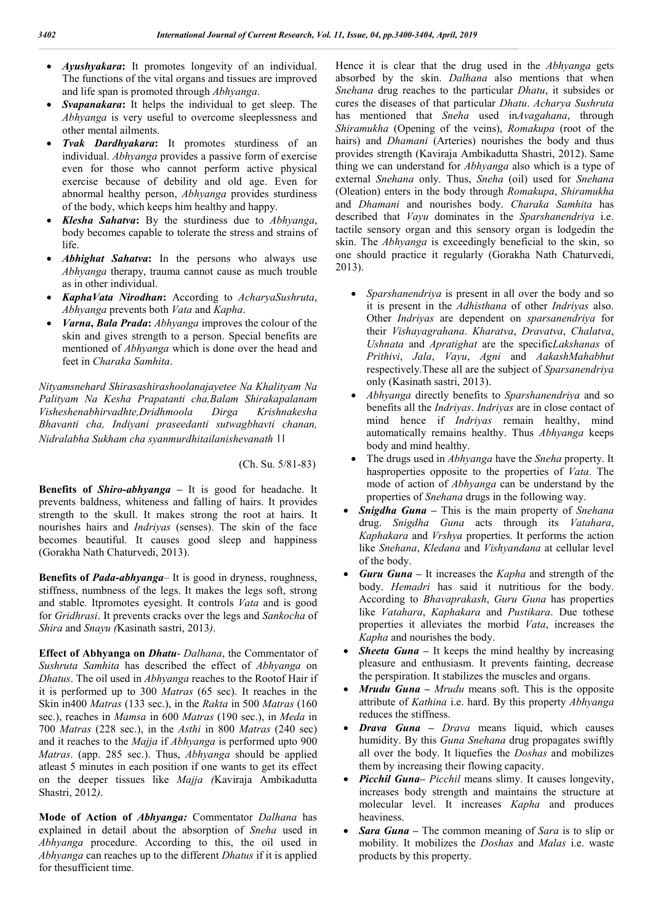- *Ayushyakara***:** It promotes longevity of an individual. The functions of the vital organs and tissues are improved and life span is promoted through *Abhyanga*.
- *Svapanakara***:** It helps the individual to get sleep. The *Abhyanga* is very useful to overcome sleeplessness and other mental ailments.
- *Tvak Dardhyakara***:** It promotes sturdiness of an individual. *Abhyanga* provides a passive form of exercise even for those who cannot perform active physical exercise because of debility and old age. Even for abnormal healthy person, *Abhyanga* provides sturdiness of the body, which keeps him healthy and happy.
- *Klesha Sahatva***:** By the sturdiness due to *Abhyanga*, body becomes capable to tolerate the stress and strains of life.
- *Abhighat Sahatva***:** In the persons who always use *Abhyanga* therapy, trauma cannot cause as much trouble as in other individual.
- *KaphaVata Nirodhan***:** According to *AcharyaSushruta*, *Abhyanga* prevents both *Vata* and *Kapha*.
- *Varna***,** *Bala Prada***:** *Abhyanga* improves the colour of the skin and gives strength to a person. Special benefits are mentioned of *Abhyanga* which is done over the head and feet in *Charaka Samhita*.

*Nityamsnehard Shirasashirashoolanajayetee Na Khalityam Na Palityam Na Kesha Prapatanti cha,Balam Shirakapalanam Visheshenabhirvadhte,Dridhmoola Dirga Krishnakesha Bhavanti cha, Indiyani praseedanti sutwagbhavti chanan, Nidralabha Sukham cha syanmurdhitailanishevanath* ।।

(Ch. Su. 5/81-83)

**Benefits of** *Shiro***-***abhyanga* **–** It is good for headache. It prevents baldness, whiteness and falling of hairs. It provides strength to the skull. It makes strong the root at hairs. It nourishes hairs and *Indriyas* (senses). The skin of the face becomes beautiful. It causes good sleep and happiness (Gorakha Nath Chaturvedi, 2013).

**Benefits of** *Pada***-***abhyanga*– It is good in dryness, roughness, stiffness, numbness of the legs. It makes the legs soft, strong and stable. Itpromotes eyesight. It controls *Vata* and is good for *Gridhrasi*. It prevents cracks over the legs and *Sankocha* of *Shira* and *Snayu (*Kasinath sastri, 2013*)*.

**Effect of Abhyanga on** *Dhatu*- *Dalhana*, the Commentator of *Sushruta Samhita* has described the effect of *Abhyanga* on *Dhatus*. The oil used in *Abhyanga* reaches to the Rootof Hair if it is performed up to 300 *Matras* (65 sec). It reaches in the Skin in400 *Matras* (133 sec.), in the *Rakta* in 500 *Matras* (160 sec.), reaches in *Mamsa* in 600 *Matras* (190 sec.), in *Meda* in 700 *Matras* (228 sec.), in the *Asthi* in 800 *Matras* (240 sec) and it reaches to the *Majja* if *Abhyanga* is performed upto 900 *Matras*. (app. 285 sec.). Thus, *Abhyanga* should be applied atleast 5 minutes in each position if one wants to get its effect on the deeper tissues like *Majja (*Kaviraja Ambikadutta Shastri, 2012*)*.

**Mode of Action of** *Abhyanga:* Commentator *Dalhana* has explained in detail about the absorption of *Sneha* used in *Abhyanga* procedure. According to this, the oil used in *Abhyanga* can reaches up to the different *Dhatus* if it is applied for thesufficient time.

Hence it is clear that the drug used in the *Abhyanga* gets absorbed by the skin. *Dalhana* also mentions that when *Snehana* drug reaches to the particular *Dhatu*, it subsides or cures the diseases of that particular *Dhatu*. *Acharya Sushruta* has mentioned that *Sneha* used in*Avagahana*, through *Shiramukha* (Opening of the veins), *Romakupa* (root of the hairs) and *Dhamani* (Arteries) nourishes the body and thus provides strength (Kaviraja Ambikadutta Shastri, 2012). Same thing we can understand for *Abhyanga* also which is a type of external *Snehana* only. Thus, *Sneha* (oil) used for *Snehana* (Oleation) enters in the body through *Romakupa*, *Shiramukha* and *Dhamani* and nourishes body. *Charaka Samhita* has described that *Vayu* dominates in the *Sparshanendriya* i.e. tactile sensory organ and this sensory organ is lodgedin the skin. The *Abhyanga* is exceedingly beneficial to the skin, so one should practice it regularly (Gorakha Nath Chaturvedi, 2013).

- *Sparshanendriya* is present in all over the body and so it is present in the *Adhisthana* of other *Indriyas* also. Other *Indriyas* are dependent on *sparsanendriya* for their *Vishayagrahana*. *Kharatva*, *Dravatva*, *Chalatva*, *Ushnata* and *Apratighat* are the specific*Lakshanas* of *Prithivi*, *Jala*, *Vayu*, *Agni* and *AakashMahabhut* respectively.These all are the subject of *Sparsanendriya* only (Kasinath sastri, 2013).
- *Abhyanga* directly benefits to *Sparshanendriya* and so benefits all the *Indriyas*. *Indriyas* are in close contact of mind hence if *Indriyas* remain healthy, mind automatically remains healthy. Thus *Abhyanga* keeps body and mind healthy.
- The drugs used in *Abhyanga* have the *Sneha* property. It hasproperties opposite to the properties of *Vata*. The mode of action of *Abhyanga* can be understand by the properties of *Snehana* drugs in the following way.
- *Snigdha Guna* **–** This is the main property of *Snehana* drug. *Snigdha Guna* acts through its *Vatahara*, *Kaphakara* and *Vrshya* properties. It performs the action like *Snehana*, *Kledana* and *Vishyandana* at cellular level of the body.
- *Guru Guna* **–** It increases the *Kapha* and strength of the body. *Hemadri* has said it nutritious for the body. According to *Bhavaprakash*, *Guru Guna* has properties like *Vatahara*, *Kaphakara* and *Pustikara*. Due tothese properties it alleviates the morbid *Vata*, increases the *Kapha* and nourishes the body.
- *Sheeta Guna* **–** It keeps the mind healthy by increasing pleasure and enthusiasm. It prevents fainting, decrease the perspiration. It stabilizes the muscles and organs.
- *Mrudu Guna* **–** *Mrudu* means soft. This is the opposite attribute of *Kathina* i.e. hard. By this property *Abhyanga* reduces the stiffness.
- *Drava Guna* **–** *Drava* means liquid, which causes humidity. By this *Guna Snehana* drug propagates swiftly all over the body. It liquefies the *Doshas* and mobilizes them by increasing their flowing capacity.
- *Picchil Guna***–** *Picchil* means slimy. It causes longevity, increases body strength and maintains the structure at molecular level. It increases *Kapha* and produces heaviness.
- *Sara Guna* **–** The common meaning of *Sara* is to slip or mobility. It mobilizes the *Doshas* and *Malas* i.e. waste products by this property.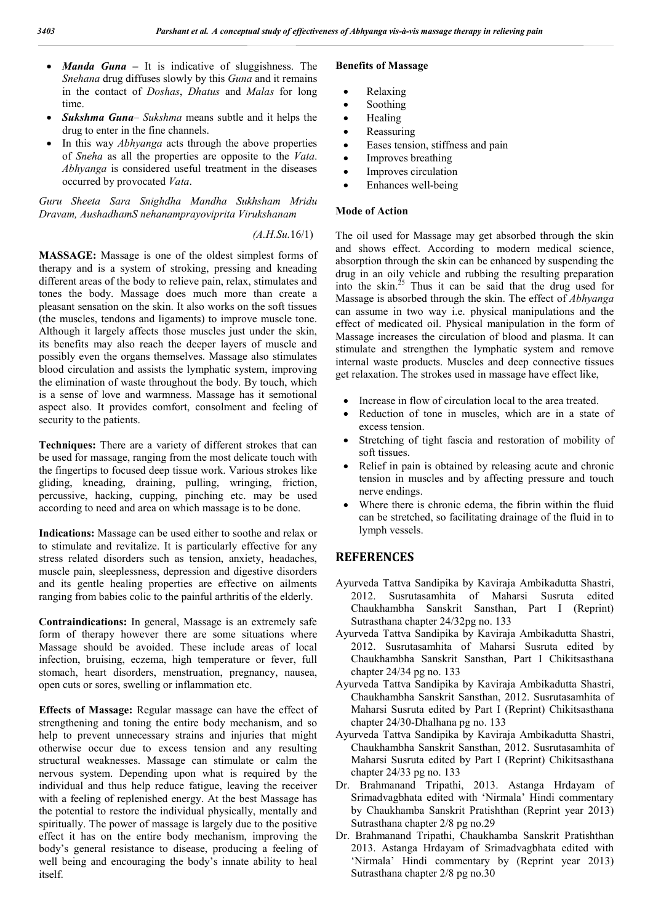- *Manda Guna* **–** It is indicative of sluggishness. The *Snehana* drug diffuses slowly by this *Guna* and it remains in the contact of *Doshas*, *Dhatus* and *Malas* for long time.
- *Sukshma Guna Sukshma* means subtle and it helps the drug to enter in the fine channels.
- In this way *Abhyanga* acts through the above properties of *Sneha* as all the properties are opposite to the *Vata*. *Abhyanga* is considered useful treatment in the diseases occurred by provocated *Vata*.

*Guru Sheeta Sara Snighdha Mandha Sukhsham Mridu Dravam, AushadhamS nehanamprayoviprita Virukshanam*

## *(A.H.Su.*16/1)

**MASSAGE:** Massage is one of the oldest simplest forms of therapy and is a system of stroking, pressing and kneading different areas of the body to relieve pain, relax, stimulates and tones the body. Massage does much more than create a pleasant sensation on the skin. It also works on the soft tissues (the muscles, tendons and ligaments) to improve muscle tone. Although it largely affects those muscles just under the skin, its benefits may also reach the deeper layers of muscle and possibly even the organs themselves. Massage also stimulates blood circulation and assists the lymphatic system, improving the elimination of waste throughout the body. By touch, which is a sense of love and warmness. Massage has it semotional aspect also. It provides comfort, consolment and feeling of security to the patients.

**Techniques:** There are a variety of different strokes that can be used for massage, ranging from the most delicate touch with the fingertips to focused deep tissue work. Various strokes like gliding, kneading, draining, pulling, wringing, friction, percussive, hacking, cupping, pinching etc. may be used according to need and area on which massage is to be done.

**Indications:** Massage can be used either to soothe and relax or to stimulate and revitalize. It is particularly effective for any stress related disorders such as tension, anxiety, headaches, muscle pain, sleeplessness, depression and digestive disorders and its gentle healing properties are effective on ailments ranging from babies colic to the painful arthritis of the elderly.

**Contraindications:** In general, Massage is an extremely safe form of therapy however there are some situations where Massage should be avoided. These include areas of local infection, bruising, eczema, high temperature or fever, full stomach, heart disorders, menstruation, pregnancy, nausea, open cuts or sores, swelling or inflammation etc.

**Effects of Massage:** Regular massage can have the effect of strengthening and toning the entire body mechanism, and so help to prevent unnecessary strains and injuries that might otherwise occur due to excess tension and any resulting structural weaknesses. Massage can stimulate or calm the nervous system. Depending upon what is required by the individual and thus help reduce fatigue, leaving the receiver with a feeling of replenished energy. At the best Massage has the potential to restore the individual physically, mentally and spiritually. The power of massage is largely due to the positive effect it has on the entire body mechanism, improving the body's general resistance to disease, producing a feeling of well being and encouraging the body's innate ability to heal itself.

### **Benefits of Massage**

- Relaxing
- Soothing
- Healing
- Reassuring
- Eases tension, stiffness and pain
- Improves breathing
- Improves circulation
- Enhances well-being

#### **Mode of Action**

The oil used for Massage may get absorbed through the skin and shows effect. According to modern medical science, absorption through the skin can be enhanced by suspending the drug in an oily vehicle and rubbing the resulting preparation into the skin.<sup>25</sup> Thus it can be said that the drug used for Massage is absorbed through the skin. The effect of *Abhyanga* can assume in two way i.e. physical manipulations and the effect of medicated oil. Physical manipulation in the form of Massage increases the circulation of blood and plasma. It can stimulate and strengthen the lymphatic system and remove internal waste products. Muscles and deep connective tissues get relaxation. The strokes used in massage have effect like,

- Increase in flow of circulation local to the area treated.
- Reduction of tone in muscles, which are in a state of excess tension.
- Stretching of tight fascia and restoration of mobility of soft tissues.
- Relief in pain is obtained by releasing acute and chronic tension in muscles and by affecting pressure and touch nerve endings.
- Where there is chronic edema, the fibrin within the fluid can be stretched, so facilitating drainage of the fluid in to lymph vessels.

## **REFERENCES**

- Ayurveda Tattva Sandipika by Kaviraja Ambikadutta Shastri, 2012. Susrutasamhita of Maharsi Susruta edited Chaukhambha Sanskrit Sansthan, Part I (Reprint) Sutrasthana chapter 24/32pg no. 133
- Ayurveda Tattva Sandipika by Kaviraja Ambikadutta Shastri, 2012. Susrutasamhita of Maharsi Susruta edited by Chaukhambha Sanskrit Sansthan, Part I Chikitsasthana chapter 24/34 pg no. 133
- Ayurveda Tattva Sandipika by Kaviraja Ambikadutta Shastri, Chaukhambha Sanskrit Sansthan, 2012. Susrutasamhita of Maharsi Susruta edited by Part I (Reprint) Chikitsasthana chapter 24/30-Dhalhana pg no. 133
- Ayurveda Tattva Sandipika by Kaviraja Ambikadutta Shastri, Chaukhambha Sanskrit Sansthan, 2012. Susrutasamhita of Maharsi Susruta edited by Part I (Reprint) Chikitsasthana chapter 24/33 pg no. 133
- Dr. Brahmanand Tripathi, 2013. Astanga Hrdayam of Srimadvagbhata edited with 'Nirmala' Hindi commentary by Chaukhamba Sanskrit Pratishthan (Reprint year 2013) Sutrasthana chapter 2/8 pg no.29
- Dr. Brahmanand Tripathi, Chaukhamba Sanskrit Pratishthan 2013. Astanga Hrdayam of Srimadvagbhata edited with 'Nirmala' Hindi commentary by (Reprint year 2013) Sutrasthana chapter 2/8 pg no.30